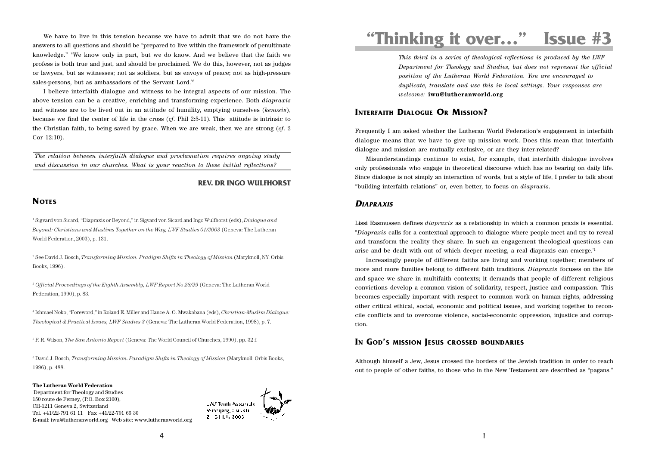We have to live in this tension because we have to admit that we do not have the answers to all questions and should be "prepared to live within the framework of penultimate knowledge." "We know only in part, but we do know. And we believe that the faith we profess is both true and just, and should be proclaimed. We do this, however, not as judges or lawyers, but as witnesses; not as soldiers, but as envoys of peace; not as high-pressure sales-persons, but as ambassadors of the Servant Lord."6

I believe interfaith dialogue and witness to be integral aspects of our mission. The above tension can be a creative, enriching and transforming experience. Both *diapraxis* and witness are to be lived out in an attitude of humility, emptying ourselves (*kenosis*), because we find the center of life in the cross (*cf*. Phil 2:5-11). This attitude is intrinsic to the Christian faith, to being saved by grace. When we are weak, then we are strong (*cf*. 2 Cor 12:10).

*The relation between interfaith dialogue and proclamation requires ongoing study and discussion in our churches. What is your reaction to these initial reflections?*

#### **REV. DR INGO WULFHORST**

# **NOTES**

1 Sigvard von Sicard, "Diapraxis or Beyond," in Sigvard von Sicard and Ingo Wulfhorst (eds), *Dialogue and Beyond: Christians and Muslims Together on the Way, LWF Studies 01/2003* (Geneva: The Lutheran World Federation, 2003), p. 131.

2 See David J. Bosch, *Transforming Mission. Pradigm Shifts in Theology of Mission* (Maryknoll, NY: Orbis Books, 1996).

<sup>3</sup> Official Proceedings of the Eighth Assembly, LWF Report No 28/29 (Geneva: The Lutheran World Federation, 1990), p. 83.

4 Ishmael Noko, "Foreword," in Roland E. Miller and Hance A. O. Mwakabana (eds), *Christian-Muslim Dialogue: Theological & Practical Issues, LWF Studies 3* (Geneva: The Lutheran World Federation, 1998), p. 7.

5 F. R. Wilson, *The San Antonio Report* (Geneva: The World Council of Churches, 1990), pp. 32 f.

6 David J. Bosch, *Transforming Mission*. *Paradigm Shifts in Theology of Mission* (Maryknoll: Orbis Books, 1996), p. 488.

**The Lutheran World Federation** Department for Theology and Studies 150 route de Ferney, (P.O. Box 2100), CH-1211 Geneva 2, Switzerland Tel. +41/22-791 61 11 Fax +41/22-791 66 30 E-mail: iwu@lutheranworld.org Web site: www.lutheranworld.org



# **"Thinking it over…" Issue #3**

*This third in a series of theological reflections is produced by the LWF Department for Theology and Studies, but does not represent the official position of the Lutheran World Federation. You are encouraged to duplicate, translate and use this in local settings. Your responses are welcome:* **iwu@lutheranworld.org**

# **INTERFAITH DIALOGUE OR MISSION?**

Frequently I am asked whether the Lutheran World Federation's engagement in interfaith dialogue means that we have to give up mission work. Does this mean that interfaith dialogue and mission are mutually exclusive, or are they inter-related?

Misunderstandings continue to exist, for example, that interfaith dialogue involves only professionals who engage in theoretical discourse which has no bearing on daily life. Since dialogue is not simply an interaction of words, but a style of life, I prefer to talk about "building interfaith relations" or, even better, to focus on *diapraxis*.

#### **DIAPRAXIS**

Lissi Rasmussen defines *diapraxis* as a relationship in which a common praxis is essential. "*Diapraxis* calls for a contextual approach to dialogue where people meet and try to reveal and transform the reality they share. In such an engagement theological questions can arise and be dealt with out of which deeper meeting, a real diapraxis can emerge."1

Increasingly people of different faiths are living and working together; members of more and more families belong to different faith traditions. *Diapraxis* focuses on the life and space we share in multifaith contexts; it demands that people of different religious convictions develop a common vision of solidarity, respect, justice and compassion. This becomes especially important with respect to common work on human rights, addressing other critical ethical, social, economic and political issues, and working together to reconcile conflicts and to overcome violence, social-economic oppression, injustice and corruption.

# **IN GOD'S MISSION JESUS CROSSED BOUNDARIES**

Although himself a Jew, Jesus crossed the borders of the Jewish tradition in order to reach out to people of other faiths, to those who in the New Testament are described as "pagans."